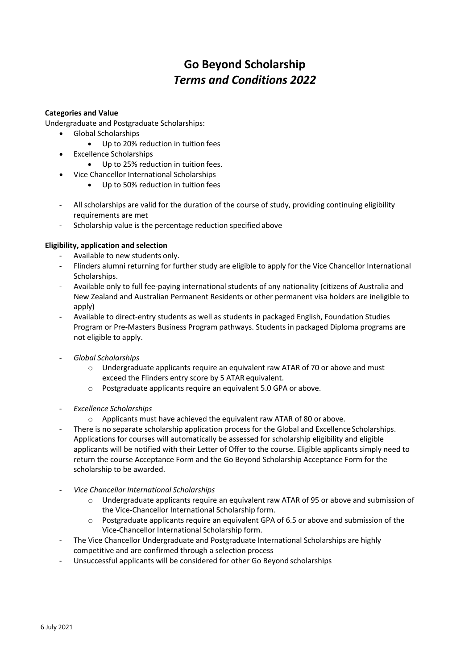# **Go Beyond Scholarship** *Terms and Conditions 2022*

## **Categories and Value**

Undergraduate and Postgraduate Scholarships:

- Global Scholarships
	- Up to 20% reduction in tuition fees
- Excellence Scholarships
	- Up to 25% reduction in tuition fees.
- Vice Chancellor International Scholarships
	- Up to 50% reduction in tuition fees
- All scholarships are valid for the duration of the course of study, providing continuing eligibility requirements are met
- Scholarship value is the percentage reduction specified above

# **Eligibility, application and selection**

- Available to new students only.
- Flinders alumni returning for further study are eligible to apply for the Vice Chancellor International Scholarships.
- Available only to full fee-paying international students of any nationality (citizens of Australia and New Zealand and Australian Permanent Residents or other permanent visa holders are ineligible to apply)
- Available to direct-entry students as well as students in packaged English, Foundation Studies Program or Pre-Masters Business Program pathways. Students in packaged Diploma programs are not eligible to apply.
- *Global Scholarships*
	- o Undergraduate applicants require an equivalent raw ATAR of 70 or above and must exceed the Flinders entry score by 5 ATAR equivalent.
	- o Postgraduate applicants require an equivalent 5.0 GPA or above.
- *Excellence Scholarships*
	- o Applicants must have achieved the equivalent raw ATAR of 80 or above.
- There is no separate scholarship application process for the Global and Excellence Scholarships. Applications for courses will automatically be assessed for scholarship eligibility and eligible applicants will be notified with their Letter of Offer to the course. Eligible applicants simply need to return the course Acceptance Form and the Go Beyond Scholarship Acceptance Form for the scholarship to be awarded.
- *Vice Chancellor International Scholarships*
	- $\circ$  Undergraduate applicants require an equivalent raw ATAR of 95 or above and submission of the Vice-Chancellor International Scholarship form.
	- o Postgraduate applicants require an equivalent GPA of 6.5 or above and submission of the Vice-Chancellor International Scholarship form.
- The Vice Chancellor Undergraduate and Postgraduate International Scholarships are highly competitive and are confirmed through a selection process
- Unsuccessful applicants will be considered for other Go Beyond scholarships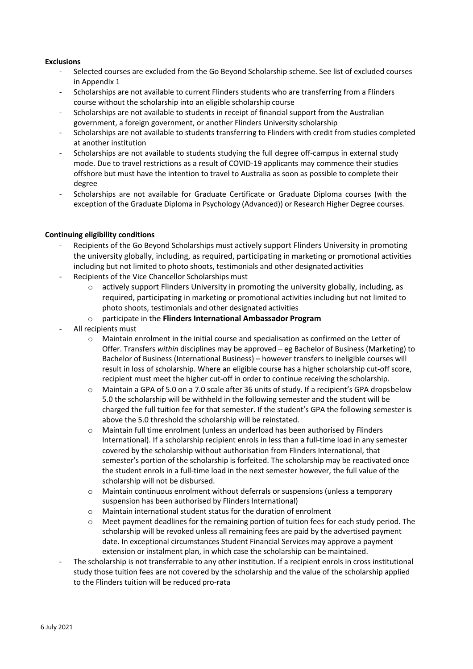## **Exclusions**

- Selected courses are excluded from the Go Beyond Scholarship scheme. See list of excluded courses in Appendix 1
- Scholarships are not available to current Flinders students who are transferring from a Flinders course without the scholarship into an eligible scholarship course
- Scholarships are not available to students in receipt of financial support from the Australian government, a foreign government, or another Flinders University scholarship
- Scholarships are not available to students transferring to Flinders with credit from studies completed at another institution
- Scholarships are not available to students studying the full degree off-campus in external study mode. Due to travel restrictions as a result of COVID-19 applicants may commence their studies offshore but must have the intention to travel to Australia as soon as possible to complete their degree
- Scholarships are not available for Graduate Certificate or Graduate Diploma courses (with the exception of the Graduate Diploma in Psychology (Advanced)) or Research Higher Degree courses.

## **Continuing eligibility conditions**

- Recipients of the Go Beyond Scholarships must actively support Flinders University in promoting the university globally, including, as required, participating in marketing or promotional activities including but not limited to photo shoots, testimonials and other designated activities
- Recipients of the Vice Chancellor Scholarships must
	- $\circ$  actively support Flinders University in promoting the university globally, including, as required, participating in marketing or promotional activities including but not limited to photo shoots, testimonials and other designated activities
	- o participate in the **Flinders International Ambassador Program**
- All recipients must
	- o Maintain enrolment in the initial course and specialisation as confirmed on the Letter of Offer. Transfers *within* disciplines may be approved – eg Bachelor of Business (Marketing) to Bachelor of Business (International Business) – however transfers to ineligible courses will result in loss of scholarship. Where an eligible course has a higher scholarship cut-off score, recipient must meet the higher cut-off in order to continue receiving the scholarship.
	- o Maintain a GPA of 5.0 on a 7.0 scale after 36 units of study. If a recipient's GPA dropsbelow 5.0 the scholarship will be withheld in the following semester and the student will be charged the full tuition fee for that semester. If the student's GPA the following semester is above the 5.0 threshold the scholarship will be reinstated.
	- o Maintain full time enrolment (unless an underload has been authorised by Flinders International). If a scholarship recipient enrols in less than a full-time load in any semester covered by the scholarship without authorisation from Flinders International, that semester's portion of the scholarship is forfeited. The scholarship may be reactivated once the student enrols in a full-time load in the next semester however, the full value of the scholarship will not be disbursed.
	- o Maintain continuous enrolment without deferrals or suspensions (unless a temporary suspension has been authorised by Flinders International)
	- o Maintain international student status for the duration of enrolment
	- $\circ$  Meet payment deadlines for the remaining portion of tuition fees for each study period. The scholarship will be revoked unless all remaining fees are paid by the advertised payment date. In exceptional circumstances Student Financial Services may approve a payment extension or instalment plan, in which case the scholarship can be maintained.
- The scholarship is not transferrable to any other institution. If a recipient enrols in cross institutional study those tuition fees are not covered by the scholarship and the value of the scholarship applied to the Flinders tuition will be reduced pro-rata